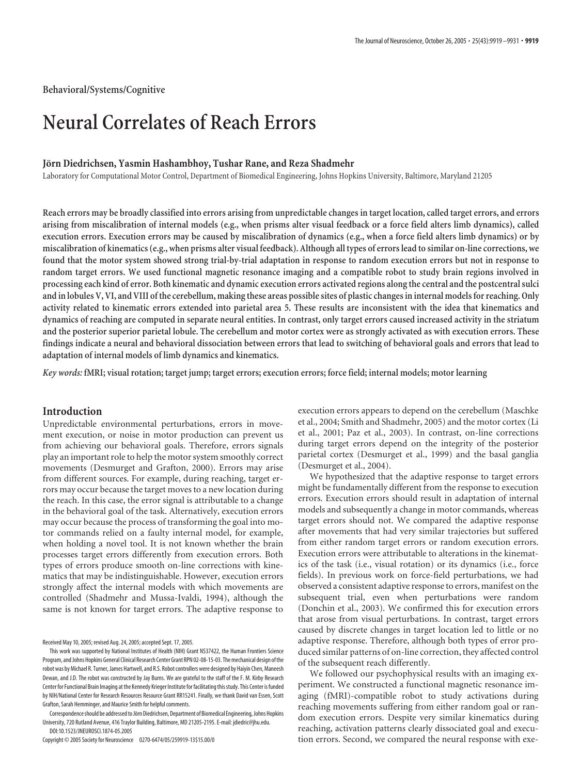**Behavioral/Systems/Cognitive**

# **Neural Correlates of Reach Errors**

# Jörn Diedrichsen, Yasmin Hashambhoy, Tushar Rane, and Reza Shadmehr

Laboratory for Computational Motor Control, Department of Biomedical Engineering, Johns Hopkins University, Baltimore, Maryland 21205

**Reach errors may be broadly classified into errors arising from unpredictable changes in target location, called target errors, and errors arising from miscalibration of internal models (e.g., when prisms alter visual feedback or a force field alters limb dynamics), called execution errors. Execution errors may be caused by miscalibration of dynamics (e.g., when a force field alters limb dynamics) or by miscalibration of kinematics (e.g., when prisms alter visual feedback). Although all types of errors lead to similar on-line corrections, we found that the motor system showed strong trial-by-trial adaptation in response to random execution errors but not in response to random target errors. We used functional magnetic resonance imaging and a compatible robot to study brain regions involved in processing each kind of error. Both kinematic and dynamic execution errors activated regions along the central and the postcentral sulci and in lobules V, VI, and VIII of the cerebellum, making these areas possible sites of plastic changes in internal models for reaching. Only activity related to kinematic errors extended into parietal area 5. These results are inconsistent with the idea that kinematics and dynamics of reaching are computed in separate neural entities. In contrast, only target errors caused increased activity in the striatum and the posterior superior parietal lobule. The cerebellum and motor cortex were as strongly activated as with execution errors. These findings indicate a neural and behavioral dissociation between errors that lead to switching of behavioral goals and errors that lead to adaptation of internal models of limb dynamics and kinematics.**

*Key words:* **fMRI; visual rotation; target jump; target errors; execution errors; force field; internal models; motor learning**

# **Introduction**

Unpredictable environmental perturbations, errors in movement execution, or noise in motor production can prevent us from achieving our behavioral goals. Therefore, errors signals play an important role to help the motor system smoothly correct movements (Desmurget and Grafton, 2000). Errors may arise from different sources. For example, during reaching, target errors may occur because the target moves to a new location during the reach. In this case, the error signal is attributable to a change in the behavioral goal of the task. Alternatively, execution errors may occur because the process of transforming the goal into motor commands relied on a faulty internal model, for example, when holding a novel tool. It is not known whether the brain processes target errors differently from execution errors. Both types of errors produce smooth on-line corrections with kinematics that may be indistinguishable. However, execution errors strongly affect the internal models with which movements are controlled (Shadmehr and Mussa-Ivaldi, 1994), although the same is not known for target errors. The adaptive response to

Received May 10, 2005; revised Aug. 24, 2005; accepted Sept. 17, 2005.

Correspondence should be addressed to Jörn Diedrichsen, Department of Biomedical Engineering, Johns Hopkins University, 720 Rutland Avenue, 416 Traylor Building, Baltimore, MD 21205-2195. E-mail: jdiedric@jhu.edu. DOI:10.1523/JNEUROSCI.1874-05.2005

Copyright © 2005 Society for Neuroscience 0270-6474/05/259919-13\$15.00/0

execution errors appears to depend on the cerebellum (Maschke et al., 2004; Smith and Shadmehr, 2005) and the motor cortex (Li et al., 2001; Paz et al., 2003). In contrast, on-line corrections during target errors depend on the integrity of the posterior parietal cortex (Desmurget et al., 1999) and the basal ganglia (Desmurget et al., 2004).

We hypothesized that the adaptive response to target errors might be fundamentally different from the response to execution errors. Execution errors should result in adaptation of internal models and subsequently a change in motor commands, whereas target errors should not. We compared the adaptive response after movements that had very similar trajectories but suffered from either random target errors or random execution errors. Execution errors were attributable to alterations in the kinematics of the task (i.e., visual rotation) or its dynamics (i.e., force fields). In previous work on force-field perturbations, we had observed a consistent adaptive response to errors, manifest on the subsequent trial, even when perturbations were random (Donchin et al., 2003). We confirmed this for execution errors that arose from visual perturbations. In contrast, target errors caused by discrete changes in target location led to little or no adaptive response. Therefore, although both types of error produced similar patterns of on-line correction, they affected control of the subsequent reach differently.

We followed our psychophysical results with an imaging experiment. We constructed a functional magnetic resonance imaging (fMRI)-compatible robot to study activations during reaching movements suffering from either random goal or random execution errors. Despite very similar kinematics during reaching, activation patterns clearly dissociated goal and execution errors. Second, we compared the neural response with exe-

This work was supported by National Institutes of Health (NIH) Grant NS37422, the Human Frontiers Science Program, and Johns Hopkins General Clinical Research Center Grant RPN 02-08-15-03. The mechanical design of the robot was by Michael R. Turner, James Hartwell, and R.S. Robot controllers were designed by Haiyin Chen, Maneesh Dewan, and J.D. The robot was constructed by Jay Burns. We are grateful to the staff of the F. M. Kirby Research Center for Functional Brain Imaging at the Kennedy Krieger Institute for facilitating thisstudy. This Center is funded by NIH/National Center for Research Resources Resource Grant RR15241. Finally, we thank David van Essen, Scott Grafton, Sarah Hemminger, and Maurice Smith for helpful comments.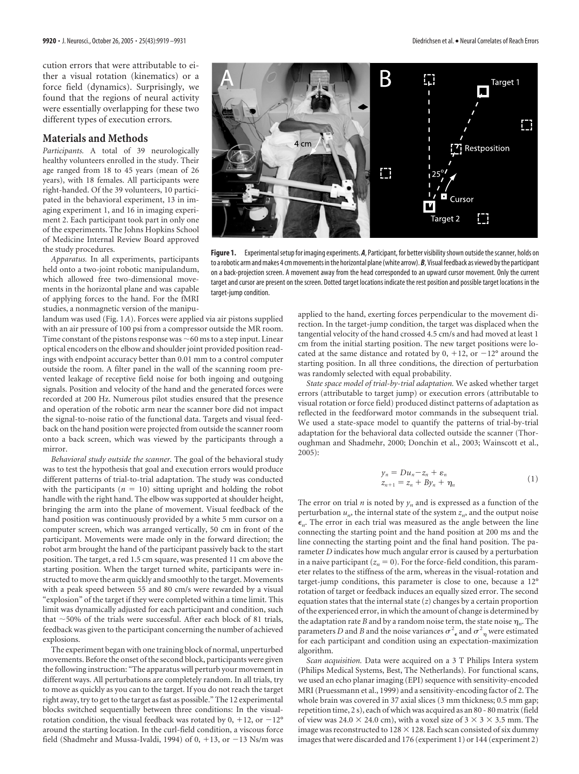cution errors that were attributable to either a visual rotation (kinematics) or a force field (dynamics). Surprisingly, we found that the regions of neural activity were essentially overlapping for these two different types of execution errors.

# **Materials and Methods**

*Participants.* A total of 39 neurologically healthy volunteers enrolled in the study. Their age ranged from 18 to 45 years (mean of 26 years), with 18 females. All participants were right-handed. Of the 39 volunteers, 10 participated in the behavioral experiment, 13 in imaging experiment 1, and 16 in imaging experiment 2. Each participant took part in only one of the experiments. The Johns Hopkins School of Medicine Internal Review Board approved the study procedures.

*Apparatus.* In all experiments, participants held onto a two-joint robotic manipulandum, which allowed free two-dimensional movements in the horizontal plane and was capable of applying forces to the hand. For the fMRI studies, a nonmagnetic version of the manipu-



Figure 1. Experimental setup for imaging experiments. A, Participant, for better visibility shown outside the scanner, holds on to a robotic arm and makes 4 cm movements in the horizontal plane (white arrow). **B**, Visual feedback as viewed by the participant on a back-projection screen. A movement away from the head corresponded to an upward cursor movement. Only the current target and cursor are present on the screen. Dotted target locations indicate the rest position and possible target locations in the target-jump condition.

landum was used (Fig. 1*A*). Forces were applied via air pistons supplied with an air pressure of 100 psi from a compressor outside the MR room. Time constant of the pistons response was  $\sim$  60 ms to a step input. Linear optical encoders on the elbow and shoulder joint provided position readings with endpoint accuracy better than 0.01 mm to a control computer outside the room. A filter panel in the wall of the scanning room prevented leakage of receptive field noise for both ingoing and outgoing signals. Position and velocity of the hand and the generated forces were recorded at 200 Hz. Numerous pilot studies ensured that the presence and operation of the robotic arm near the scanner bore did not impact the signal-to-noise ratio of the functional data. Targets and visual feedback on the hand position were projected from outside the scanner room onto a back screen, which was viewed by the participants through a mirror.

*Behavioral study outside the scanner.* The goal of the behavioral study was to test the hypothesis that goal and execution errors would produce different patterns of trial-to-trial adaptation. The study was conducted with the participants ( $n = 10$ ) sitting upright and holding the robot handle with the right hand. The elbow was supported at shoulder height, bringing the arm into the plane of movement. Visual feedback of the hand position was continuously provided by a white 5 mm cursor on a computer screen, which was arranged vertically, 50 cm in front of the participant. Movements were made only in the forward direction; the robot arm brought the hand of the participant passively back to the start position. The target, a red 1.5 cm square, was presented 11 cm above the starting position. When the target turned white, participants were instructed to move the arm quickly and smoothly to the target. Movements with a peak speed between 55 and 80 cm/s were rewarded by a visual "explosion" of the target if they were completed within a time limit. This limit was dynamically adjusted for each participant and condition, such that  $\sim$  50% of the trials were successful. After each block of 81 trials, feedback was given to the participant concerning the number of achieved explosions.

The experiment began with one training block of normal, unperturbed movements. Before the onset of the second block, participants were given the following instruction: "The apparatus will perturb your movement in different ways. All perturbations are completely random. In all trials, try to move as quickly as you can to the target. If you do not reach the target right away, try to get to the target as fast as possible." The 12 experimental blocks switched sequentially between three conditions: In the visualrotation condition, the visual feedback was rotated by  $0, +12$ , or  $-12^{\circ}$ around the starting location. In the curl-field condition, a viscous force field (Shadmehr and Mussa-Ivaldi, 1994) of 0,  $+13$ , or  $-13$  Ns/m was

applied to the hand, exerting forces perpendicular to the movement direction. In the target-jump condition, the target was displaced when the tangential velocity of the hand crossed 4.5 cm/s and had moved at least 1 cm from the initial starting position. The new target positions were located at the same distance and rotated by  $0, +12$ , or  $-12^{\circ}$  around the starting position. In all three conditions, the direction of perturbation was randomly selected with equal probability.

*State space model of trial-by-trial adaptation.* We asked whether target errors (attributable to target jump) or execution errors (attributable to visual rotation or force field) produced distinct patterns of adaptation as reflected in the feedforward motor commands in the subsequent trial. We used a state-space model to quantify the patterns of trial-by-trial adaptation for the behavioral data collected outside the scanner (Thoroughman and Shadmehr, 2000; Donchin et al., 2003; Wainscott et al., 2005):

$$
\begin{aligned} y_n &= Du_n - z_n + \varepsilon_n \\ z_{n+1} &= z_n + By_n + \eta_n \end{aligned} \tag{1}
$$

The error on trial *n* is noted by  $y_n$  and is expressed as a function of the perturbation  $u_n$ , the internal state of the system  $z_n$ , and the output noise  $\epsilon_n$ . The error in each trial was measured as the angle between the line connecting the starting point and the hand position at 200 ms and the line connecting the starting point and the final hand position. The parameter *D* indicates how much angular error is caused by a perturbation in a naive participant  $(z_n = 0)$ . For the force-field condition, this parameter relates to the stiffness of the arm, whereas in the visual-rotation and target-jump conditions, this parameter is close to one, because a 12° rotation of target or feedback induces an equally sized error. The second equation states that the internal state (*z*) changes by a certain proportion of the experienced error, in which the amount of change is determined by the adaptation rate *B* and by a random noise term, the state noise  $\eta_n$ . The parameters *D* and *B* and the noise variances  $\sigma^2$  and  $\sigma^2$  were estimated for each participant and condition using an expectation-maximization algorithm.

*Scan acquisition*. Data were acquired on a 3 T Philips Intera system (Philips Medical Systems, Best, The Netherlands). For functional scans, we used an echo planar imaging (EPI) sequence with sensitivity-encoded MRI (Pruessmann et al., 1999) and a sensitivity-encoding factor of 2. The whole brain was covered in 37 axial slices (3 mm thickness; 0.5 mm gap; repetition time, 2 s), each of which was acquired as an 80 - 80 matrix (field of view was 24.0  $\times$  24.0 cm), with a voxel size of 3  $\times$  3  $\times$  3.5 mm. The image was reconstructed to  $128 \times 128$ . Each scan consisted of six dummy images that were discarded and 176 (experiment 1) or 144 (experiment 2)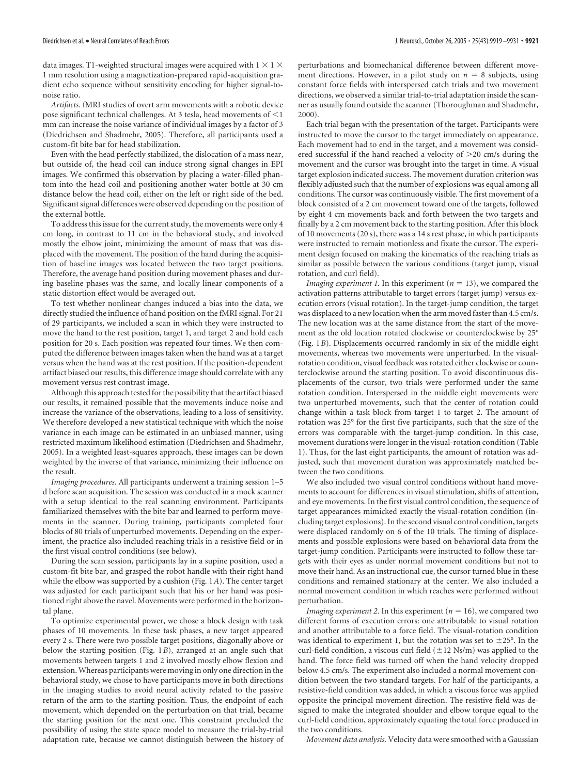data images. T1-weighted structural images were acquired with  $1 \times 1 \times$ 1 mm resolution using a magnetization-prepared rapid-acquisition gradient echo sequence without sensitivity encoding for higher signal-tonoise ratio.

*Artifacts.* fMRI studies of overt arm movements with a robotic device pose significant technical challenges. At 3 tesla, head movements of  $\leq$ 1 mm can increase the noise variance of individual images by a factor of 3 (Diedrichsen and Shadmehr, 2005). Therefore, all participants used a custom-fit bite bar for head stabilization.

Even with the head perfectly stabilized, the dislocation of a mass near, but outside of, the head coil can induce strong signal changes in EPI images. We confirmed this observation by placing a water-filled phantom into the head coil and positioning another water bottle at 30 cm distance below the head coil, either on the left or right side of the bed. Significant signal differences were observed depending on the position of the external bottle.

To address this issue for the current study, the movements were only 4 cm long, in contrast to 11 cm in the behavioral study, and involved mostly the elbow joint, minimizing the amount of mass that was displaced with the movement. The position of the hand during the acquisition of baseline images was located between the two target positions. Therefore, the average hand position during movement phases and during baseline phases was the same, and locally linear components of a static distortion effect would be averaged out.

To test whether nonlinear changes induced a bias into the data, we directly studied the influence of hand position on the fMRI signal. For 21 of 29 participants, we included a scan in which they were instructed to move the hand to the rest position, target 1, and target 2 and hold each position for 20 s. Each position was repeated four times. We then computed the difference between images taken when the hand was at a target versus when the hand was at the rest position. If the position-dependent artifact biased our results, this difference image should correlate with any movement versus rest contrast image.

Although this approach tested for the possibility that the artifact biased our results, it remained possible that the movements induce noise and increase the variance of the observations, leading to a loss of sensitivity. We therefore developed a new statistical technique with which the noise variance in each image can be estimated in an unbiased manner, using restricted maximum likelihood estimation (Diedrichsen and Shadmehr, 2005). In a weighted least-squares approach, these images can be down weighted by the inverse of that variance, minimizing their influence on the result.

*Imaging procedures.* All participants underwent a training session 1–5 d before scan acquisition. The session was conducted in a mock scanner with a setup identical to the real scanning environment. Participants familiarized themselves with the bite bar and learned to perform movements in the scanner. During training, participants completed four blocks of 80 trials of unperturbed movements. Depending on the experiment, the practice also included reaching trials in a resistive field or in the first visual control conditions (see below).

During the scan session, participants lay in a supine position, used a custom-fit bite bar, and grasped the robot handle with their right hand while the elbow was supported by a cushion (Fig. 1*A*). The center target was adjusted for each participant such that his or her hand was positioned right above the navel. Movements were performed in the horizontal plane.

To optimize experimental power, we chose a block design with task phases of 10 movements. In these task phases, a new target appeared every 2 s. There were two possible target positions, diagonally above or below the starting position (Fig. 1*B*), arranged at an angle such that movements between targets 1 and 2 involved mostly elbow flexion and extension. Whereas participants were moving in only one direction in the behavioral study, we chose to have participants move in both directions in the imaging studies to avoid neural activity related to the passive return of the arm to the starting position. Thus, the endpoint of each movement, which depended on the perturbation on that trial, became the starting position for the next one. This constraint precluded the possibility of using the state space model to measure the trial-by-trial adaptation rate, because we cannot distinguish between the history of perturbations and biomechanical difference between different movement directions. However, in a pilot study on  $n = 8$  subjects, using constant force fields with interspersed catch trials and two movement directions, we observed a similar trial-to-trial adaptation inside the scanner as usually found outside the scanner (Thoroughman and Shadmehr, 2000).

Each trial began with the presentation of the target. Participants were instructed to move the cursor to the target immediately on appearance. Each movement had to end in the target, and a movement was considered successful if the hand reached a velocity of  $>$ 20 cm/s during the movement and the cursor was brought into the target in time. A visual target explosion indicated success. The movement duration criterion was flexibly adjusted such that the number of explosions was equal among all conditions. The cursor was continuously visible. The first movement of a block consisted of a 2 cm movement toward one of the targets, followed by eight 4 cm movements back and forth between the two targets and finally by a 2 cm movement back to the starting position. After this block of 10 movements (20 s), there was a 14 s rest phase, in which participants were instructed to remain motionless and fixate the cursor. The experiment design focused on making the kinematics of the reaching trials as similar as possible between the various conditions (target jump, visual rotation, and curl field).

*Imaging experiment 1*. In this experiment ( $n = 13$ ), we compared the activation patterns attributable to target errors (target jump) versus execution errors (visual rotation). In the target-jump condition, the target was displaced to a new location when the arm moved faster than 4.5 cm/s. The new location was at the same distance from the start of the movement as the old location rotated clockwise or counterclockwise by 25° (Fig. 1*B*). Displacements occurred randomly in six of the middle eight movements, whereas two movements were unperturbed. In the visualrotation condition, visual feedback was rotated either clockwise or counterclockwise around the starting position. To avoid discontinuous displacements of the cursor, two trials were performed under the same rotation condition. Interspersed in the middle eight movements were two unperturbed movements, such that the center of rotation could change within a task block from target 1 to target 2. The amount of rotation was 25° for the first five participants, such that the size of the errors was comparable with the target-jump condition. In this case, movement durations were longer in the visual-rotation condition (Table 1). Thus, for the last eight participants, the amount of rotation was adjusted, such that movement duration was approximately matched between the two conditions.

We also included two visual control conditions without hand movements to account for differences in visual stimulation, shifts of attention, and eye movements. In the first visual control condition, the sequence of target appearances mimicked exactly the visual-rotation condition (including target explosions). In the second visual control condition, targets were displaced randomly on 6 of the 10 trials. The timing of displacements and possible explosions were based on behavioral data from the target-jump condition. Participants were instructed to follow these targets with their eyes as under normal movement conditions but not to move their hand. As an instructional cue, the cursor turned blue in these conditions and remained stationary at the center. We also included a normal movement condition in which reaches were performed without perturbation.

*Imaging experiment 2.* In this experiment ( $n = 16$ ), we compared two different forms of execution errors: one attributable to visual rotation and another attributable to a force field. The visual-rotation condition was identical to experiment 1, but the rotation was set to  $\pm 25^{\circ}$ . In the curl-field condition, a viscous curl field  $(\pm 12 \text{ Ns/m})$  was applied to the hand. The force field was turned off when the hand velocity dropped below 4.5 cm/s. The experiment also included a normal movement condition between the two standard targets. For half of the participants, a resistive-field condition was added, in which a viscous force was applied opposite the principal movement direction. The resistive field was designed to make the integrated shoulder and elbow torque equal to the curl-field condition, approximately equating the total force produced in the two conditions.

*Movement data analysis.* Velocity data were smoothed with a Gaussian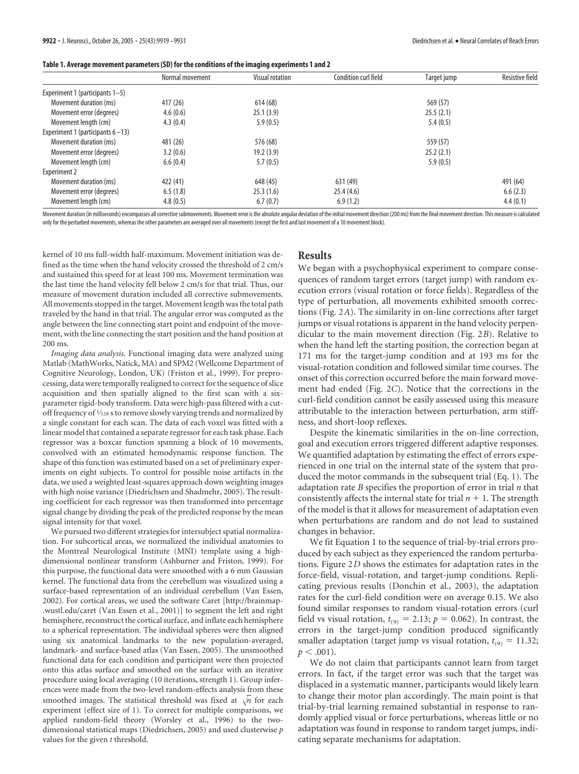#### **Table 1. Average movement parameters (SD) for the conditions of the imaging experiments 1 and 2**

|                                     | Normal movement | Visual rotation | Condition curl field | Target jump | <b>Resistive field</b> |
|-------------------------------------|-----------------|-----------------|----------------------|-------------|------------------------|
| Experiment 1 (participants 1-5)     |                 |                 |                      |             |                        |
| Movement duration (ms)              | 417 (26)        | 614 (68)        |                      | 569 (57)    |                        |
| Movement error (degrees)            | 4.6(0.6)        | 25.1(3.9)       |                      | 25.5(2.1)   |                        |
| Movement length (cm)                | 4.3(0.4)        | 5.9(0.5)        |                      | 5.4(0.5)    |                        |
| Experiment 1 (participants $6-13$ ) |                 |                 |                      |             |                        |
| Movement duration (ms)              | 481 (26)        | 576 (68)        |                      | 559 (57)    |                        |
| Movement error (degrees)            | 3.2(0.6)        | 19.2(3.9)       |                      | 25.2(2.1)   |                        |
| Movement length (cm)                | 6.6(0.4)        | 5.7(0.5)        |                      | 5.9(0.5)    |                        |
| Experiment 2                        |                 |                 |                      |             |                        |
| Movement duration (ms)              | 422 (41)        | 648 (45)        | 631 (49)             |             | 491 (64)               |
| Movement error (degrees)            | 6.5(1.8)        | 25.3(1.6)       | 25.4(4.6)            |             | 6.6(2.3)               |
| Movement length (cm)                | 4.8(0.5)        | 6.7(0.7)        | 6.9(1.2)             |             | 4.4(0.1)               |

Movement duration (in milliseconds) encompasses all corrective submovements. Movement error is the absolute angular deviation of the initial movement direction (200 ms) from the final movement direction. This measure is ca only for the perturbed movements, whereas the other parameters are averaged over all movements (except the first and last movement of a 10 movement block).

kernel of 10 ms full-width half-maximum. Movement initiation was defined as the time when the hand velocity crossed the threshold of 2 cm/s and sustained this speed for at least 100 ms. Movement termination was the last time the hand velocity fell below 2 cm/s for that trial. Thus, our measure of movement duration included all corrective submovements. All movements stopped in the target. Movement length was the total path traveled by the hand in that trial. The angular error was computed as the angle between the line connecting start point and endpoint of the movement, with the line connecting the start position and the hand position at 200 ms.

*Imaging data analysis.* Functional imaging data were analyzed using Matlab (MathWorks, Natick, MA) and SPM2 (Wellcome Department of Cognitive Neurology, London, UK) (Friston et al., 1999). For preprocessing, data were temporally realigned to correct for the sequence of slice acquisition and then spatially aligned to the first scan with a sixparameter rigid-body transform. Data were high-pass filtered with a cutoff frequency of 1⁄128 s to remove slowly varying trends and normalized by a single constant for each scan. The data of each voxel was fitted with a linear model that contained a separate regressor for each task phase. Each regressor was a boxcar function spanning a block of 10 movements, convolved with an estimated hemodynamic response function. The shape of this function was estimated based on a set of preliminary experiments on eight subjects. To control for possible noise artifacts in the data, we used a weighted least-squares approach down weighting images with high noise variance (Diedrichsen and Shadmehr, 2005). The resulting coefficient for each regressor was then transformed into percentage signal change by dividing the peak of the predicted response by the mean signal intensity for that voxel.

We pursued two different strategies for intersubject spatial normalization. For subcortical areas, we normalized the individual anatomies to the Montreal Neurological Institute (MNI) template using a highdimensional nonlinear transform (Ashburner and Friston, 1999). For this purpose, the functional data were smoothed with a 6 mm Gaussian kernel. The functional data from the cerebellum was visualized using a surface-based representation of an individual cerebellum (Van Essen, 2002). For cortical areas, we used the software Caret [http://brainmap- .wustl.edu/caret (Van Essen et al., 2001)] to segment the left and right hemisphere, reconstruct the cortical surface, and inflate each hemisphere to a spherical representation. The individual spheres were then aligned using six anatomical landmarks to the new population-averaged, landmark- and surface-based atlas (Van Essen, 2005). The unsmoothed functional data for each condition and participant were then projected onto this atlas surface and smoothed on the surface with an iterative procedure using local averaging (10 iterations, strength 1). Group inferences were made from the two-level random-effects analysis from these smoothed images. The statistical threshold was fixed at  $\sqrt{n}$  for each experiment (effect size of 1). To correct for multiple comparisons, we applied random-field theory (Worsley et al., 1996) to the twodimensional statistical maps (Diedrichsen, 2005) and used clusterwise *p* values for the given *t* threshold.

# **Results**

We began with a psychophysical experiment to compare consequences of random target errors (target jump) with random execution errors (visual rotation or force fields). Regardless of the type of perturbation, all movements exhibited smooth corrections (Fig. 2*A*). The similarity in on-line corrections after target jumps or visual rotations is apparent in the hand velocity perpendicular to the main movement direction (Fig. 2*B*). Relative to when the hand left the starting position, the correction began at 171 ms for the target-jump condition and at 193 ms for the visual-rotation condition and followed similar time courses. The onset of this correction occurred before the main forward movement had ended (Fig. 2*C*). Notice that the corrections in the curl-field condition cannot be easily assessed using this measure attributable to the interaction between perturbation, arm stiffness, and short-loop reflexes.

Despite the kinematic similarities in the on-line correction, goal and execution errors triggered different adaptive responses. We quantified adaptation by estimating the effect of errors experienced in one trial on the internal state of the system that produced the motor commands in the subsequent trial (Eq. 1). The adaptation rate *B* specifies the proportion of error in trial *n* that consistently affects the internal state for trial  $n + 1$ . The strength of the model is that it allows for measurement of adaptation even when perturbations are random and do not lead to sustained changes in behavior.

We fit Equation 1 to the sequence of trial-by-trial errors produced by each subject as they experienced the random perturbations. Figure 2*D* shows the estimates for adaptation rates in the force-field, visual-rotation, and target-jump conditions. Replicating previous results (Donchin et al., 2003), the adaptation rates for the curl-field condition were on average 0.15. We also found similar responses to random visual-rotation errors (curl field vs visual rotation,  $t_{(9)} = 2.13$ ;  $p = 0.062$ ). In contrast, the errors in the target-jump condition produced significantly smaller adaptation (target jump vs visual rotation,  $t_{(9)} = 11.32$ ;  $p < .001$ ).

We do not claim that participants cannot learn from target errors. In fact, if the target error was such that the target was displaced in a systematic manner, participants would likely learn to change their motor plan accordingly. The main point is that trial-by-trial learning remained substantial in response to randomly applied visual or force perturbations, whereas little or no adaptation was found in response to random target jumps, indicating separate mechanisms for adaptation.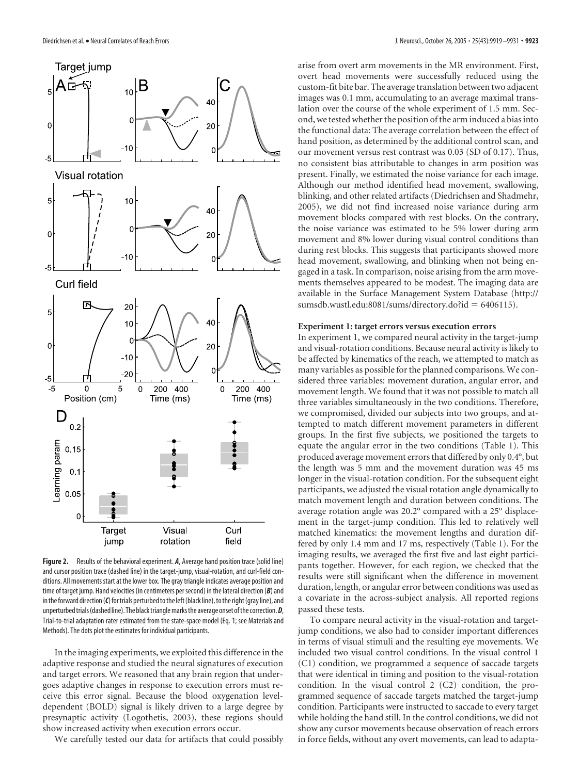

**Figure 2.** Results of the behavioral experiment. *A*, Average hand position trace (solid line) and cursor position trace (dashed line) in the target-jump, visual-rotation, and curl-field conditions. All movements start at the lower box. The gray triangle indicates average position and time of target jump. Hand velocities (in centimeters persecond) in the lateral direction (*B*) and in the forward direction (C) for trials perturbed to the left (black line), to the right (gray line), and unperturbed trials (dashed line). The black triangle marks the average onset of the correction. *D*, Trial-to-trial adaptation rater estimated from the state-space model (Eq. 1; see Materials and Methods). The dots plot the estimates for individual participants.

In the imaging experiments, we exploited this difference in the adaptive response and studied the neural signatures of execution and target errors. We reasoned that any brain region that undergoes adaptive changes in response to execution errors must receive this error signal. Because the blood oxygenation leveldependent (BOLD) signal is likely driven to a large degree by presynaptic activity (Logothetis, 2003), these regions should show increased activity when execution errors occur.

We carefully tested our data for artifacts that could possibly

arise from overt arm movements in the MR environment. First, overt head movements were successfully reduced using the custom-fit bite bar. The average translation between two adjacent images was 0.1 mm, accumulating to an average maximal translation over the course of the whole experiment of 1.5 mm. Second, we tested whether the position of the arm induced a bias into the functional data: The average correlation between the effect of hand position, as determined by the additional control scan, and our movement versus rest contrast was 0.03 (SD of 0.17). Thus, no consistent bias attributable to changes in arm position was present. Finally, we estimated the noise variance for each image. Although our method identified head movement, swallowing, blinking, and other related artifacts (Diedrichsen and Shadmehr, 2005), we did not find increased noise variance during arm movement blocks compared with rest blocks. On the contrary, the noise variance was estimated to be 5% lower during arm movement and 8% lower during visual control conditions than during rest blocks. This suggests that participants showed more head movement, swallowing, and blinking when not being engaged in a task. In comparison, noise arising from the arm movements themselves appeared to be modest. The imaging data are available in the Surface Management System Database (http:// sumsdb.wustl.edu:8081/sums/directory.do?id = 6406115).

## **Experiment 1: target errors versus execution errors**

In experiment 1, we compared neural activity in the target-jump and visual-rotation conditions. Because neural activity is likely to be affected by kinematics of the reach, we attempted to match as many variables as possible for the planned comparisons. We considered three variables: movement duration, angular error, and movement length. We found that it was not possible to match all three variables simultaneously in the two conditions. Therefore, we compromised, divided our subjects into two groups, and attempted to match different movement parameters in different groups. In the first five subjects, we positioned the targets to equate the angular error in the two conditions (Table 1). This produced average movement errors that differed by only 0.4°, but the length was 5 mm and the movement duration was 45 ms longer in the visual-rotation condition. For the subsequent eight participants, we adjusted the visual rotation angle dynamically to match movement length and duration between conditions. The average rotation angle was 20.2° compared with a 25° displacement in the target-jump condition. This led to relatively well matched kinematics: the movement lengths and duration differed by only 1.4 mm and 17 ms, respectively (Table 1). For the imaging results, we averaged the first five and last eight participants together. However, for each region, we checked that the results were still significant when the difference in movement duration, length, or angular error between conditions was used as a covariate in the across-subject analysis. All reported regions passed these tests.

To compare neural activity in the visual-rotation and targetjump conditions, we also had to consider important differences in terms of visual stimuli and the resulting eye movements. We included two visual control conditions. In the visual control 1 (C1) condition, we programmed a sequence of saccade targets that were identical in timing and position to the visual-rotation condition. In the visual control 2 (C2) condition, the programmed sequence of saccade targets matched the target-jump condition. Participants were instructed to saccade to every target while holding the hand still. In the control conditions, we did not show any cursor movements because observation of reach errors in force fields, without any overt movements, can lead to adapta-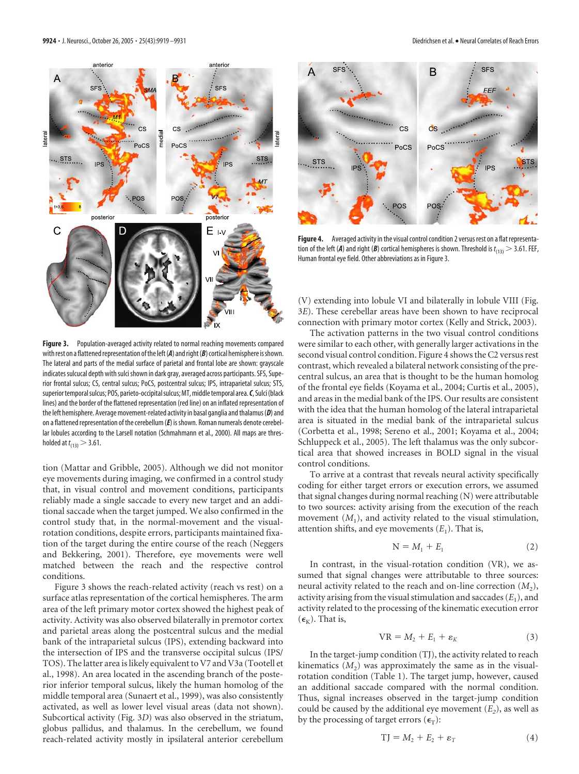

**Figure 3.** Population-averaged activity related to normal reaching movements compared with rest on a flattened representation of the left (A) and right (B) cortical hemisphere is shown. The lateral and parts of the medial surface of parietal and frontal lobe are shown: grayscale indicates sulcucal depth with sulci shown in dark gray, averaged across participants. SFS, Superior frontal sulcus; CS, central sulcus; PoCS, postcentral sulcus; IPS, intraparietal sulcus; STS, superior temporal sulcus; POS, parieto-occipital sulcus; MT, middle temporal area. C, Sulci (black lines) and the border of the flattened representation (red line) on an inflated representation of the left hemisphere. Average movement-related activity in basal ganglia and thalamus (D) and on a flattened representation of the cerebellum (*E*) isshown. Roman numerals denote cerebellar lobules according to the Larsell notation (Schmahmann et al., 2000). All maps are thresholded at  $t_{(13)} > 3.61$ .

tion (Mattar and Gribble, 2005). Although we did not monitor eye movements during imaging, we confirmed in a control study that, in visual control and movement conditions, participants reliably made a single saccade to every new target and an additional saccade when the target jumped. We also confirmed in the control study that, in the normal-movement and the visualrotation conditions, despite errors, participants maintained fixation of the target during the entire course of the reach (Neggers and Bekkering, 2001). Therefore, eye movements were well matched between the reach and the respective control conditions.

Figure 3 shows the reach-related activity (reach vs rest) on a surface atlas representation of the cortical hemispheres. The arm area of the left primary motor cortex showed the highest peak of activity. Activity was also observed bilaterally in premotor cortex and parietal areas along the postcentral sulcus and the medial bank of the intraparietal sulcus (IPS), extending backward into the intersection of IPS and the transverse occipital sulcus (IPS/ TOS). The latter area is likely equivalent to V7 and V3a (Tootell et al., 1998). An area located in the ascending branch of the posterior inferior temporal sulcus, likely the human homolog of the middle temporal area (Sunaert et al., 1999), was also consistently activated, as well as lower level visual areas (data not shown). Subcortical activity (Fig. 3*D*) was also observed in the striatum, globus pallidus, and thalamus. In the cerebellum, we found reach-related activity mostly in ipsilateral anterior cerebellum



**Figure 4.** Averaged activity in the visual control condition 2 versus rest on a flat representation of the left (*A*) and right (*B*) cortical hemispheres is shown. Threshold is  $t_{(13)} > 3.61$ . FEF, Human frontal eye field. Other abbreviations as in Figure 3.

(V) extending into lobule VI and bilaterally in lobule VIII (Fig. 3*E*). These cerebellar areas have been shown to have reciprocal connection with primary motor cortex (Kelly and Strick, 2003).

The activation patterns in the two visual control conditions were similar to each other, with generally larger activations in the second visual control condition. Figure 4 shows the C2 versus rest contrast, which revealed a bilateral network consisting of the precentral sulcus, an area that is thought to be the human homolog of the frontal eye fields (Koyama et al., 2004; Curtis et al., 2005), and areas in the medial bank of the IPS. Our results are consistent with the idea that the human homolog of the lateral intraparietal area is situated in the medial bank of the intraparietal sulcus (Corbetta et al., 1998; Sereno et al., 2001; Koyama et al., 2004; Schluppeck et al., 2005). The left thalamus was the only subcortical area that showed increases in BOLD signal in the visual control conditions.

To arrive at a contrast that reveals neural activity specifically coding for either target errors or execution errors, we assumed that signal changes during normal reaching (N) were attributable to two sources: activity arising from the execution of the reach movement  $(M_1)$ , and activity related to the visual stimulation, attention shifts, and eye movements  $(E_1)$ . That is,

$$
N = M_1 + E_1 \tag{2}
$$

In contrast, in the visual-rotation condition (VR), we assumed that signal changes were attributable to three sources: neural activity related to the reach and on-line correction  $(M_2)$ , activity arising from the visual stimulation and saccades  $(E_1)$ , and activity related to the processing of the kinematic execution error  $(\epsilon_{K})$ . That is,

$$
VR = M_2 + E_1 + \varepsilon_K \tag{3}
$$

In the target-jump condition (TJ), the activity related to reach kinematics  $(M_2)$  was approximately the same as in the visualrotation condition (Table 1). The target jump, however, caused an additional saccade compared with the normal condition. Thus, signal increases observed in the target-jump condition could be caused by the additional eye movement  $(E_2)$ , as well as by the processing of target errors  $(\epsilon_{\text{T}})$ :

$$
TJ = M_2 + E_2 + \varepsilon_T \tag{4}
$$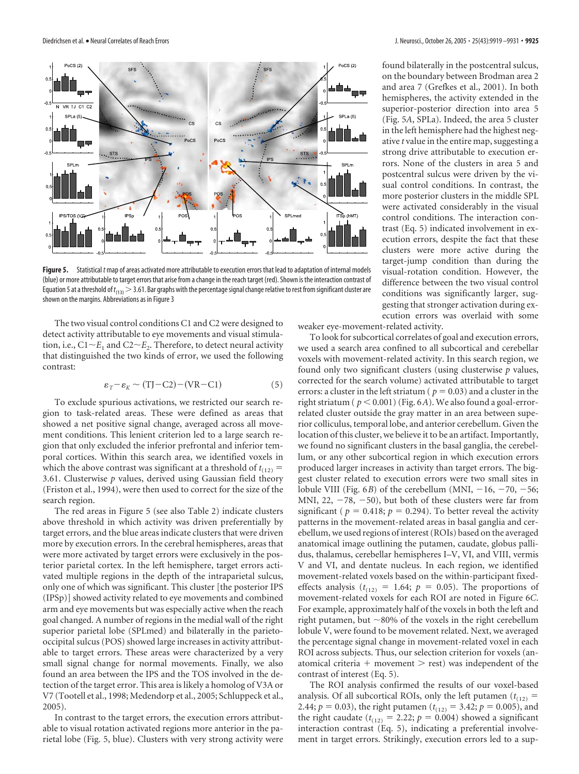

**Figure 5.** Statistical *t* map of areas activated more attributable to execution errors that lead to adaptation of internal models (blue) or more attributable to target errors that arise from a change in the reach target (red). Shown is the interaction contrast of Equation 5 at a threshold of  $t_{(13)}$   $>$  3.61. Bar graphs with the percentage signal change relative to rest from significant cluster are shown on the margins. Abbreviations as in Figure 3

The two visual control conditions C1 and C2 were designed to detect activity attributable to eye movements and visual stimulation, i.e.,  $C1 \sim E_1$  and  $C2 \sim E_2$ . Therefore, to detect neural activity that distinguished the two kinds of error, we used the following contrast:

$$
\varepsilon_T - \varepsilon_K \sim (TJ - C2) - (VR - C1)
$$
 (5)

To exclude spurious activations, we restricted our search region to task-related areas. These were defined as areas that showed a net positive signal change, averaged across all movement conditions. This lenient criterion led to a large search region that only excluded the inferior prefrontal and inferior temporal cortices. Within this search area, we identified voxels in which the above contrast was significant at a threshold of  $t_{(12)} =$ 3.61. Clusterwise *p* values, derived using Gaussian field theory (Friston et al., 1994), were then used to correct for the size of the search region.

The red areas in Figure 5 (see also Table 2) indicate clusters above threshold in which activity was driven preferentially by target errors, and the blue areas indicate clusters that were driven more by execution errors. In the cerebral hemispheres, areas that were more activated by target errors were exclusively in the posterior parietal cortex. In the left hemisphere, target errors activated multiple regions in the depth of the intraparietal sulcus, only one of which was significant. This cluster [the posterior IPS (IPSp)] showed activity related to eye movements and combined arm and eye movements but was especially active when the reach goal changed. A number of regions in the medial wall of the right superior parietal lobe (SPLmed) and bilaterally in the parietooccipital sulcus (POS) showed large increases in activity attributable to target errors. These areas were characterized by a very small signal change for normal movements. Finally, we also found an area between the IPS and the TOS involved in the detection of the target error. This area is likely a homolog of V3A or V7 (Tootell et al., 1998; Medendorp et al., 2005; Schluppeck et al., 2005).

In contrast to the target errors, the execution errors attributable to visual rotation activated regions more anterior in the parietal lobe (Fig. 5, blue). Clusters with very strong activity were

found bilaterally in the postcentral sulcus, on the boundary between Brodman area 2 and area 7 (Grefkes et al., 2001). In both hemispheres, the activity extended in the superior-posterior direction into area 5 (Fig. 5*A*, SPLa). Indeed, the area 5 cluster in the left hemisphere had the highest negative *t* value in the entire map, suggesting a strong drive attributable to execution errors. None of the clusters in area 5 and postcentral sulcus were driven by the visual control conditions. In contrast, the more posterior clusters in the middle SPL were activated considerably in the visual control conditions. The interaction contrast (Eq. 5) indicated involvement in execution errors, despite the fact that these clusters were more active during the target-jump condition than during the visual-rotation condition. However, the difference between the two visual control conditions was significantly larger, suggesting that stronger activation during execution errors was overlaid with some

weaker eye-movement-related activity.

To look for subcortical correlates of goal and execution errors, we used a search area confined to all subcortical and cerebellar voxels with movement-related activity. In this search region, we found only two significant clusters (using clusterwise *p* values, corrected for the search volume) activated attributable to target errors: a cluster in the left striatum (  $p = 0.03$  ) and a cluster in the right striatum ( $p < 0.001$ ) (Fig. 6*A*). We also found a goal-errorrelated cluster outside the gray matter in an area between superior colliculus, temporal lobe, and anterior cerebellum. Given the location of this cluster, we believe it to be an artifact. Importantly, we found no significant clusters in the basal ganglia, the cerebellum, or any other subcortical region in which execution errors produced larger increases in activity than target errors. The biggest cluster related to execution errors were two small sites in lobule VIII (Fig.  $6B$ ) of the cerebellum (MNI,  $-16$ ,  $-70$ ,  $-56$ ; MNI, 22,  $-78$ ,  $-50$ ), but both of these clusters were far from significant ( $p = 0.418$ ;  $p = 0.294$ ). To better reveal the activity patterns in the movement-related areas in basal ganglia and cerebellum, we used regions of interest (ROIs) based on the averaged anatomical image outlining the putamen, caudate, globus pallidus, thalamus, cerebellar hemispheres I–V, VI, and VIII, vermis V and VI, and dentate nucleus. In each region, we identified movement-related voxels based on the within-participant fixedeffects analysis ( $t_{(12)} = 1.64$ ;  $p = 0.05$ ). The proportions of movement-related voxels for each ROI are noted in Figure 6*C*. For example, approximately half of the voxels in both the left and right putamen, but  $\sim$ 80% of the voxels in the right cerebellum lobule V, were found to be movement related. Next, we averaged the percentage signal change in movement-related voxel in each ROI across subjects. Thus, our selection criterion for voxels (anatomical criteria  $+$  movement  $>$  rest) was independent of the contrast of interest (Eq. 5).

The ROI analysis confirmed the results of our voxel-based analysis. Of all subcortical ROIs, only the left putamen  $(t_{(12)} =$ 2.44;  $p = 0.03$ ), the right putamen ( $t_{(12)} = 3.42$ ;  $p = 0.005$ ), and the right caudate ( $t_{(12)} = 2.22$ ;  $p = 0.004$ ) showed a significant interaction contrast (Eq. 5), indicating a preferential involvement in target errors. Strikingly, execution errors led to a sup-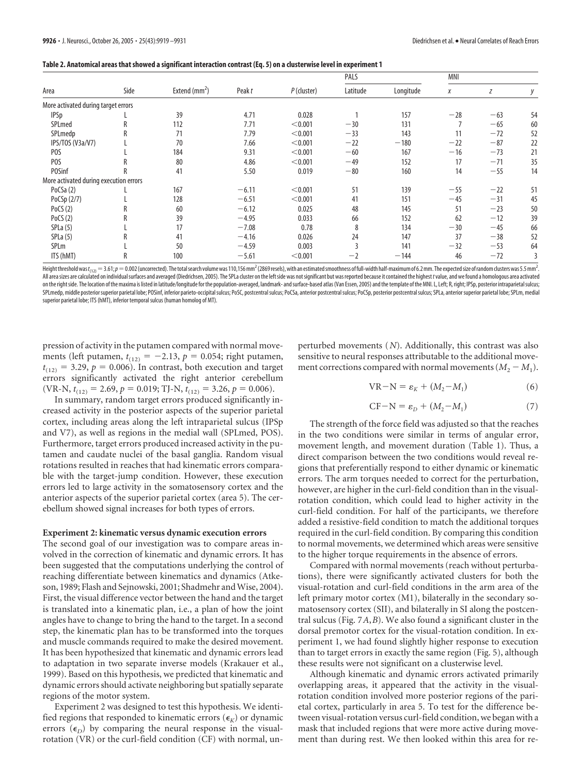| Table 2. Anatomical areas that showed a significant interaction contrast (Eq. 5) on a clusterwise level in experiment 1 |  |  |  |
|-------------------------------------------------------------------------------------------------------------------------|--|--|--|
|                                                                                                                         |  |  |  |

| Area                                   | Side | Extend $(mm2)$ | Peak t  | $P$ (cluster) | PALS     |           | MNI   |       |    |
|----------------------------------------|------|----------------|---------|---------------|----------|-----------|-------|-------|----|
|                                        |      |                |         |               | Latitude | Longitude | X     | Z     |    |
| More activated during target errors    |      |                |         |               |          |           |       |       |    |
| <b>IPSp</b>                            |      | 39             | 4.71    | 0.028         |          | 157       | $-28$ | $-63$ | 54 |
| SPLmed                                 | R    | 112            | 7.71    | < 0.001       | $-30$    | 131       |       | $-65$ | 60 |
| SPLmedp                                | R    | 71             | 7.79    | < 0.001       | $-33$    | 143       | 11    | $-72$ | 52 |
| IPS/TOS (V3a/V7)                       |      | 70             | 7.66    | < 0.001       | $-22$    | $-180$    | $-22$ | $-87$ | 22 |
| POS                                    |      | 184            | 9.31    | < 0.001       | $-60$    | 167       | $-16$ | $-73$ | 21 |
| POS                                    | R    | 80             | 4.86    | < 0.001       | $-49$    | 152       | 17    | $-71$ | 35 |
| <b>POSinf</b>                          | R    | 41             | 5.50    | 0.019         | $-80$    | 160       | 14    | $-55$ | 14 |
| More activated during execution errors |      |                |         |               |          |           |       |       |    |
| PoCSa $(2)$                            |      | 167            | $-6.11$ | < 0.001       | 51       | 139       | $-55$ | $-22$ | 51 |
| PoCSp $(2/7)$                          |      | 128            | $-6.51$ | < 0.001       | 41       | 151       | $-45$ | $-31$ | 45 |
| PoCS $(2)$                             | R    | 60             | $-6.12$ | 0.025         | 48       | 145       | 51    | $-23$ | 50 |
| PoCS $(2)$                             | R    | 39             | $-4.95$ | 0.033         | 66       | 152       | 62    | $-12$ | 39 |
| SPLa(5)                                |      | 17             | $-7.08$ | 0.78          | 8        | 134       | $-30$ | $-45$ | 66 |
| SPLa(5)                                | R    | 41             | $-4.16$ | 0.026         | 24       | 147       | 37    | $-38$ | 52 |
| SPLm                                   |      | 50             | $-4.59$ | 0.003         |          | 141       | $-32$ | $-53$ | 64 |
| ITS (hMT)                              | R    | 100            | $-5.61$ | < 0.001       | $^{-2}$  | $-144$    | 46    | $-72$ |    |

Height threshold was  $t_{(12)} = 3.61; p = 0.002$  (uncorrected). The total search volume was 110,156 mm<sup>2</sup> (2869 resels), with an estimated smoothness of full-width half-maximum of 6.2 mm. The expected size of random clusters . All area sizes are calculated on individual surfaces and averaged (Diedrichsen, 2005). The SPLa cluster on the left side was not significant but was reported because it contained the highest t value, and we found a homolog on the right side. The location of the maxima is listed in latitude/longitude for the population-averaged. landmark-and surface-based atlas (Van Essen. 2005) and the template of the MNI. L. Left: R. right: IPSp. posterior SPLmedp, middle posterior superior parietal lobe; POSinf, inferior parieto-occipital sulcus; PoSC, postcentral sulcus; PoCSa, anterior postcentral sulcus; PoCSp, posterior postcentral sulcus; SPLa, anterior superior pariet superior parietal lobe; ITS (hMT), inferior temporal sulcus (human homolog of MT).

pression of activity in the putamen compared with normal movements (left putamen,  $t_{(12)} = -2.13$ ,  $p = 0.054$ ; right putamen,  $t_{(12)} = 3.29$ ,  $p = 0.006$ ). In contrast, both execution and target errors significantly activated the right anterior cerebellum  $(VR-N, t_{(12)} = 2.69, p = 0.019; TJ-N, t_{(12)} = 3.26, p = 0.006$ .

In summary, random target errors produced significantly increased activity in the posterior aspects of the superior parietal cortex, including areas along the left intraparietal sulcus (IPSp and V7), as well as regions in the medial wall (SPLmed, POS). Furthermore, target errors produced increased activity in the putamen and caudate nuclei of the basal ganglia. Random visual rotations resulted in reaches that had kinematic errors comparable with the target-jump condition. However, these execution errors led to large activity in the somatosensory cortex and the anterior aspects of the superior parietal cortex (area 5). The cerebellum showed signal increases for both types of errors.

#### **Experiment 2: kinematic versus dynamic execution errors**

The second goal of our investigation was to compare areas involved in the correction of kinematic and dynamic errors. It has been suggested that the computations underlying the control of reaching differentiate between kinematics and dynamics (Atkeson, 1989; Flash and Sejnowski, 2001; Shadmehr and Wise, 2004). First, the visual difference vector between the hand and the target is translated into a kinematic plan, i.e., a plan of how the joint angles have to change to bring the hand to the target. In a second step, the kinematic plan has to be transformed into the torques and muscle commands required to make the desired movement. It has been hypothesized that kinematic and dynamic errors lead to adaptation in two separate inverse models (Krakauer et al., 1999). Based on this hypothesis, we predicted that kinematic and dynamic errors should activate neighboring but spatially separate regions of the motor system.

Experiment 2 was designed to test this hypothesis. We identified regions that responded to kinematic errors  $(\epsilon_K)$  or dynamic errors  $(\epsilon_D)$  by comparing the neural response in the visualrotation (VR) or the curl-field condition (CF) with normal, unperturbed movements (*N*). Additionally, this contrast was also sensitive to neural responses attributable to the additional movement corrections compared with normal movements  $(M_2 - M_1)$ .

$$
VR - N = \varepsilon_K + (M_2 - M_1) \tag{6}
$$

$$
CF - N = \varepsilon_D + (M_2 - M_1) \tag{7}
$$

The strength of the force field was adjusted so that the reaches in the two conditions were similar in terms of angular error, movement length, and movement duration (Table 1). Thus, a direct comparison between the two conditions would reveal regions that preferentially respond to either dynamic or kinematic errors. The arm torques needed to correct for the perturbation, however, are higher in the curl-field condition than in the visualrotation condition, which could lead to higher activity in the curl-field condition. For half of the participants, we therefore added a resistive-field condition to match the additional torques required in the curl-field condition. By comparing this condition to normal movements, we determined which areas were sensitive to the higher torque requirements in the absence of errors.

Compared with normal movements (reach without perturbations), there were significantly activated clusters for both the visual-rotation and curl-field conditions in the arm area of the left primary motor cortex (M1), bilaterally in the secondary somatosensory cortex (SII), and bilaterally in SI along the postcentral sulcus (Fig. 7*A*,*B*). We also found a significant cluster in the dorsal premotor cortex for the visual-rotation condition. In experiment 1, we had found slightly higher response to execution than to target errors in exactly the same region (Fig. 5), although these results were not significant on a clusterwise level.

Although kinematic and dynamic errors activated primarily overlapping areas, it appeared that the activity in the visualrotation condition involved more posterior regions of the parietal cortex, particularly in area 5. To test for the difference between visual-rotation versus curl-field condition, we began with a mask that included regions that were more active during movement than during rest. We then looked within this area for re-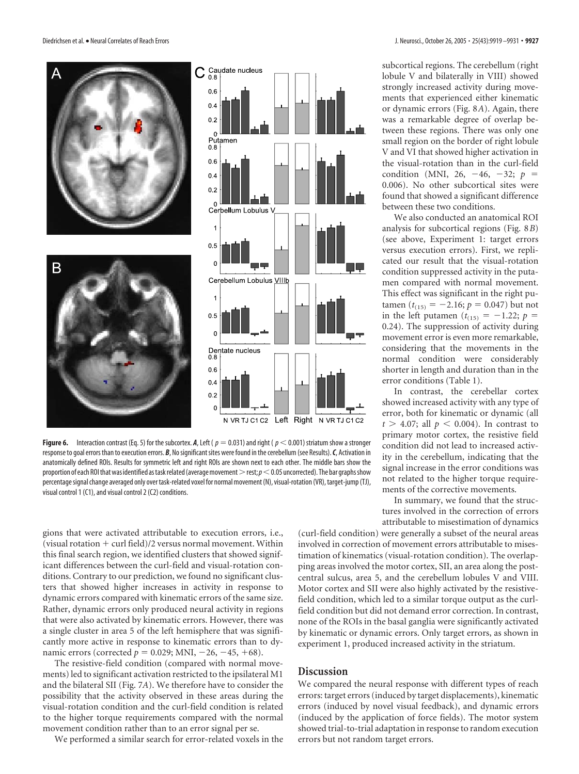

**Figure 6.** Interaction contrast (Eq. 5) for the subcortex. A, Left (  $p = 0.031$ ) and right (  $p < 0.001$ ) striatum show a stronger response to goal errors than to execution errors. *B*, Nosignificantsites were found in the cerebellum (see Results).*C*, Activation in anatomically defined ROIs. Results for symmetric left and right ROIs are shown next to each other. The middle bars show the proportion of each ROI that was identified as task related (average movement  $>$  rest;  $p$   $<$  0.05 uncorrected). The bar graphs show percentage signal change averaged only over task-related voxel for normal movement (N), visual-rotation (VR), target-jump (TJ), visual control 1 (C1), and visual control 2 (C2) conditions.

gions that were activated attributable to execution errors, i.e., (visual rotation  $+$  curl field)/2 versus normal movement. Within this final search region, we identified clusters that showed significant differences between the curl-field and visual-rotation conditions. Contrary to our prediction, we found no significant clusters that showed higher increases in activity in response to dynamic errors compared with kinematic errors of the same size. Rather, dynamic errors only produced neural activity in regions that were also activated by kinematic errors. However, there was a single cluster in area 5 of the left hemisphere that was significantly more active in response to kinematic errors than to dynamic errors (corrected  $p = 0.029$ ; MNI,  $-26$ ,  $-45$ ,  $+68$ ).

The resistive-field condition (compared with normal movements) led to significant activation restricted to the ipsilateral M1 and the bilateral SII (Fig. 7*A*). We therefore have to consider the possibility that the activity observed in these areas during the visual-rotation condition and the curl-field condition is related to the higher torque requirements compared with the normal movement condition rather than to an error signal per se.

We performed a similar search for error-related voxels in the

subcortical regions. The cerebellum (right lobule V and bilaterally in VIII) showed strongly increased activity during movements that experienced either kinematic or dynamic errors (Fig. 8*A*). Again, there was a remarkable degree of overlap between these regions. There was only one small region on the border of right lobule V and VI that showed higher activation in the visual-rotation than in the curl-field condition (MNI, 26,  $-46$ ,  $-32$ ;  $p =$ 0.006). No other subcortical sites were found that showed a significant difference between these two conditions.

We also conducted an anatomical ROI analysis for subcortical regions (Fig. 8*B*) (see above, Experiment 1: target errors versus execution errors). First, we replicated our result that the visual-rotation condition suppressed activity in the putamen compared with normal movement. This effect was significant in the right pu $t_{(15)} = -2.16; p = 0.047$  but not in the left putamen ( $t_{(15)} = -1.22$ ;  $p =$ 0.24). The suppression of activity during movement error is even more remarkable, considering that the movements in the normal condition were considerably shorter in length and duration than in the error conditions (Table 1).

In contrast, the cerebellar cortex showed increased activity with any type of error, both for kinematic or dynamic (all  $t > 4.07$ ; all  $p < 0.004$ ). In contrast to primary motor cortex, the resistive field condition did not lead to increased activity in the cerebellum, indicating that the signal increase in the error conditions was not related to the higher torque requirements of the corrective movements.

In summary, we found that the structures involved in the correction of errors attributable to misestimation of dynamics

(curl-field condition) were generally a subset of the neural areas involved in correction of movement errors attributable to misestimation of kinematics (visual-rotation condition). The overlapping areas involved the motor cortex, SII, an area along the postcentral sulcus, area 5, and the cerebellum lobules V and VIII. Motor cortex and SII were also highly activated by the resistivefield condition, which led to a similar torque output as the curlfield condition but did not demand error correction. In contrast, none of the ROIs in the basal ganglia were significantly activated by kinematic or dynamic errors. Only target errors, as shown in experiment 1, produced increased activity in the striatum.

# **Discussion**

We compared the neural response with different types of reach errors: target errors (induced by target displacements), kinematic errors (induced by novel visual feedback), and dynamic errors (induced by the application of force fields). The motor system showed trial-to-trial adaptation in response to random execution errors but not random target errors.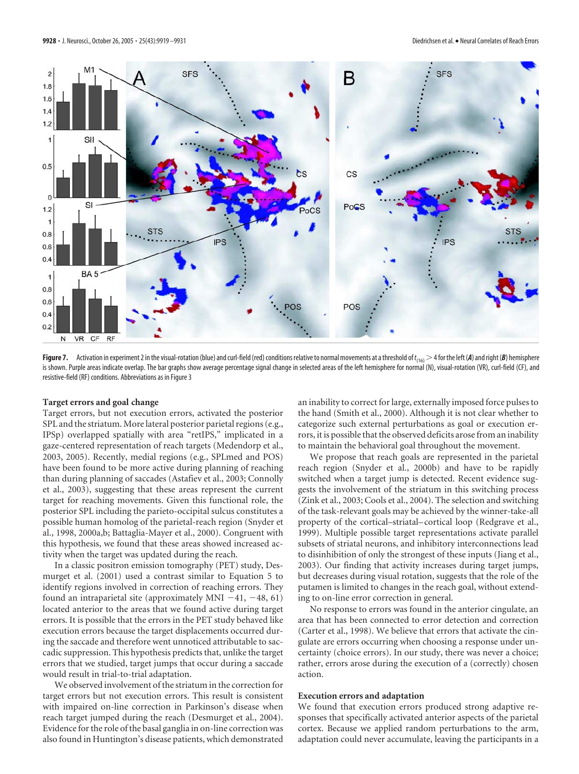

**Figure 7.** Activation in experiment 2 in the visual-rotation (blue) and curl-field (red) conditions relative to normal movements at a threshold of  $t_{(16)} > 4$  for the left (*A*) and right (*B*) hemisphere is shown. Purple areas indicate overlap. The bar graphs show average percentage signal change in selected areas of the left hemisphere for normal (N), visual-rotation (VR), curl-field (CF), and resistive-field (RF) conditions. Abbreviations as in Figure 3

# **Target errors and goal change**

Target errors, but not execution errors, activated the posterior SPL and the striatum. More lateral posterior parietal regions (e.g., IPSp) overlapped spatially with area "retIPS," implicated in a gaze-centered representation of reach targets (Medendorp et al., 2003, 2005). Recently, medial regions (e.g., SPLmed and POS) have been found to be more active during planning of reaching than during planning of saccades (Astafiev et al., 2003; Connolly et al., 2003), suggesting that these areas represent the current target for reaching movements. Given this functional role, the posterior SPL including the parieto-occipital sulcus constitutes a possible human homolog of the parietal-reach region (Snyder et al., 1998, 2000a,b; Battaglia-Mayer et al., 2000). Congruent with this hypothesis, we found that these areas showed increased activity when the target was updated during the reach.

In a classic positron emission tomography (PET) study, Desmurget et al. (2001) used a contrast similar to Equation 5 to identify regions involved in correction of reaching errors. They found an intraparietal site (approximately MNI  $-41, -48, 61$ ) located anterior to the areas that we found active during target errors. It is possible that the errors in the PET study behaved like execution errors because the target displacements occurred during the saccade and therefore went unnoticed attributable to saccadic suppression. This hypothesis predicts that, unlike the target errors that we studied, target jumps that occur during a saccade would result in trial-to-trial adaptation.

We observed involvement of the striatum in the correction for target errors but not execution errors. This result is consistent with impaired on-line correction in Parkinson's disease when reach target jumped during the reach (Desmurget et al., 2004). Evidence for the role of the basal ganglia in on-line correction was also found in Huntington's disease patients, which demonstrated

an inability to correct for large, externally imposed force pulses to the hand (Smith et al., 2000). Although it is not clear whether to categorize such external perturbations as goal or execution errors, it is possible that the observed deficits arose from an inability to maintain the behavioral goal throughout the movement.

We propose that reach goals are represented in the parietal reach region (Snyder et al., 2000b) and have to be rapidly switched when a target jump is detected. Recent evidence suggests the involvement of the striatum in this switching process (Zink et al., 2003; Cools et al., 2004). The selection and switching of the task-relevant goals may be achieved by the winner-take-all property of the cortical–striatal– cortical loop (Redgrave et al., 1999). Multiple possible target representations activate parallel subsets of striatal neurons, and inhibitory interconnections lead to disinhibition of only the strongest of these inputs (Jiang et al., 2003). Our finding that activity increases during target jumps, but decreases during visual rotation, suggests that the role of the putamen is limited to changes in the reach goal, without extending to on-line error correction in general.

No response to errors was found in the anterior cingulate, an area that has been connected to error detection and correction (Carter et al., 1998). We believe that errors that activate the cingulate are errors occurring when choosing a response under uncertainty (choice errors). In our study, there was never a choice; rather, errors arose during the execution of a (correctly) chosen action.

## **Execution errors and adaptation**

We found that execution errors produced strong adaptive responses that specifically activated anterior aspects of the parietal cortex. Because we applied random perturbations to the arm, adaptation could never accumulate, leaving the participants in a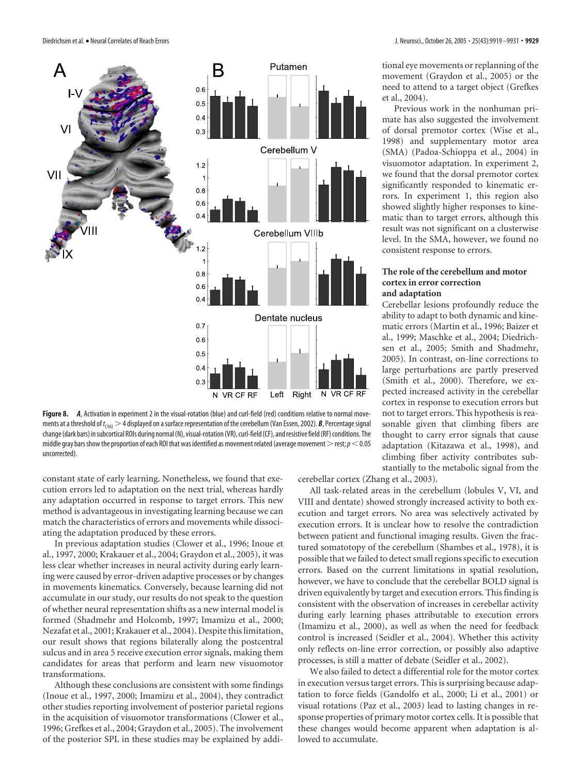

tional eye movements or replanning of the movement (Graydon et al., 2005) or the need to attend to a target object (Grefkes et al., 2004).

Previous work in the nonhuman primate has also suggested the involvement of dorsal premotor cortex (Wise et al., 1998) and supplementary motor area (SMA) (Padoa-Schioppa et al., 2004) in visuomotor adaptation. In experiment 2, we found that the dorsal premotor cortex significantly responded to kinematic errors. In experiment 1, this region also showed slightly higher responses to kinematic than to target errors, although this result was not significant on a clusterwise level. In the SMA, however, we found no consistent response to errors.

# **The role of the cerebellum and motor cortex in error correction and adaptation**

Cerebellar lesions profoundly reduce the ability to adapt to both dynamic and kinematic errors (Martin et al., 1996; Baizer et al., 1999; Maschke et al., 2004; Diedrichsen et al., 2005; Smith and Shadmehr, 2005). In contrast, on-line corrections to large perturbations are partly preserved (Smith et al., 2000). Therefore, we expected increased activity in the cerebellar cortex in response to execution errors but not to target errors. This hypothesis is reasonable given that climbing fibers are thought to carry error signals that cause adaptation (Kitazawa et al., 1998), and climbing fiber activity contributes substantially to the metabolic signal from the

**Figure 8.** *A*, Activation in experiment 2 in the visual-rotation (blue) and curl-field (red) conditions relative to normal movements at a threshold of  $t_{(16)} > 4$  displayed on a surface representation of the cerebellum (Van Essen, 2002). **B**, Percentage signal change(dark bars) insubcortical ROIs during normal(N), visual-rotation(VR), curl-field(CF), andresistivefield(RF) conditions. The middle gray bars show the proportion of each ROI that was identified as movement related (average movement  $>$  rest;  $p$   $<$  0.05 uncorrected).

constant state of early learning. Nonetheless, we found that execution errors led to adaptation on the next trial, whereas hardly any adaptation occurred in response to target errors. This new method is advantageous in investigating learning because we can match the characteristics of errors and movements while dissociating the adaptation produced by these errors.

In previous adaptation studies (Clower et al., 1996; Inoue et al., 1997, 2000; Krakauer et al., 2004; Graydon et al., 2005), it was less clear whether increases in neural activity during early learning were caused by error-driven adaptive processes or by changes in movements kinematics. Conversely, because learning did not accumulate in our study, our results do not speak to the question of whether neural representation shifts as a new internal model is formed (Shadmehr and Holcomb, 1997; Imamizu et al., 2000; Nezafat et al., 2001; Krakauer et al., 2004). Despite this limitation, our result shows that regions bilaterally along the postcentral sulcus and in area 5 receive execution error signals, making them candidates for areas that perform and learn new visuomotor transformations.

Although these conclusions are consistent with some findings (Inoue et al., 1997, 2000; Imamizu et al., 2004), they contradict other studies reporting involvement of posterior parietal regions in the acquisition of visuomotor transformations (Clower et al., 1996; Grefkes et al., 2004; Graydon et al., 2005). The involvement of the posterior SPL in these studies may be explained by addicerebellar cortex (Zhang et al., 2003).

All task-related areas in the cerebellum (lobules V, VI, and VIII and dentate) showed strongly increased activity to both execution and target errors. No area was selectively activated by execution errors. It is unclear how to resolve the contradiction between patient and functional imaging results. Given the fractured somatotopy of the cerebellum (Shambes et al., 1978), it is possible that we failed to detect small regions specific to execution errors. Based on the current limitations in spatial resolution, however, we have to conclude that the cerebellar BOLD signal is driven equivalently by target and execution errors. This finding is consistent with the observation of increases in cerebellar activity during early learning phases attributable to execution errors (Imamizu et al., 2000), as well as when the need for feedback control is increased (Seidler et al., 2004). Whether this activity only reflects on-line error correction, or possibly also adaptive processes, is still a matter of debate (Seidler et al., 2002).

We also failed to detect a differential role for the motor cortex in execution versus target errors. This is surprising because adaptation to force fields (Gandolfo et al., 2000; Li et al., 2001) or visual rotations (Paz et al., 2003) lead to lasting changes in response properties of primary motor cortex cells. It is possible that these changes would become apparent when adaptation is allowed to accumulate.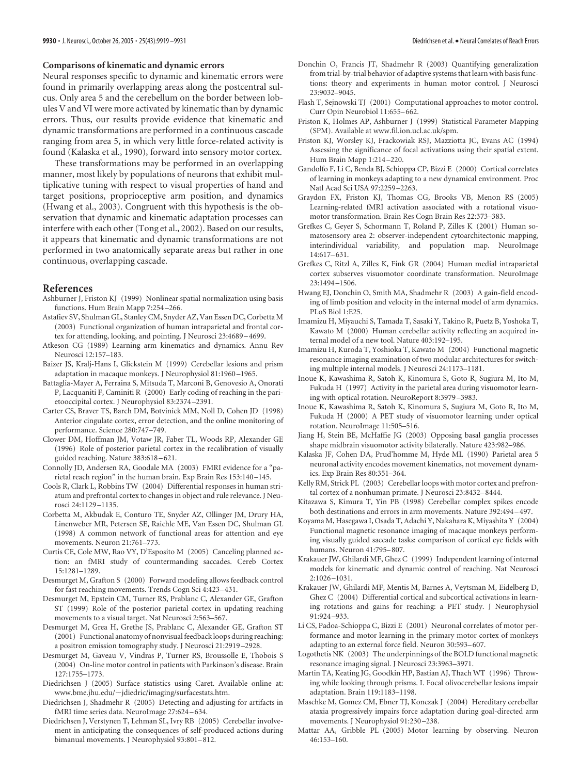## **Comparisons of kinematic and dynamic errors**

Neural responses specific to dynamic and kinematic errors were found in primarily overlapping areas along the postcentral sulcus. Only area 5 and the cerebellum on the border between lobules V and VI were more activated by kinematic than by dynamic errors. Thus, our results provide evidence that kinematic and dynamic transformations are performed in a continuous cascade ranging from area 5, in which very little force-related activity is found (Kalaska et al., 1990), forward into sensory motor cortex.

These transformations may be performed in an overlapping manner, most likely by populations of neurons that exhibit multiplicative tuning with respect to visual properties of hand and target positions, proprioceptive arm position, and dynamics (Hwang et al., 2003). Congruent with this hypothesis is the observation that dynamic and kinematic adaptation processes can interfere with each other (Tong et al., 2002). Based on our results, it appears that kinematic and dynamic transformations are not performed in two anatomically separate areas but rather in one continuous, overlapping cascade.

## **References**

- Ashburner J, Friston KJ (1999) Nonlinear spatial normalization using basis functions. Hum Brain Mapp 7:254 –266.
- Astafiev SV, Shulman GL, Stanley CM, Snyder AZ, Van Essen DC, Corbetta M (2003) Functional organization of human intraparietal and frontal cortex for attending, looking, and pointing. J Neurosci 23:4689 – 4699.
- Atkeson CG (1989) Learning arm kinematics and dynamics. Annu Rev Neurosci 12:157–183.
- Baizer JS, Kralj-Hans I, Glickstein M (1999) Cerebellar lesions and prism adaptation in macaque monkeys. J Neurophysiol 81:1960 –1965.
- Battaglia-Mayer A, Ferraina S, Mitsuda T, Marconi B, Genovesio A, Onorati P, Lacquaniti F, Caminiti R (2000) Early coding of reaching in the parietooccipital cortex. J Neurophysiol 83:2374 –2391.
- Carter CS, Braver TS, Barch DM, Botvinick MM, Noll D, Cohen JD (1998) Anterior cingulate cortex, error detection, and the online monitoring of performance. Science 280:747–749.
- Clower DM, Hoffman JM, Votaw JR, Faber TL, Woods RP, Alexander GE (1996) Role of posterior parietal cortex in the recalibration of visually guided reaching. Nature 383:618 – 621.
- Connolly JD, Andersen RA, Goodale MA (2003) FMRI evidence for a "parietal reach region" in the human brain. Exp Brain Res 153:140 –145.
- Cools R, Clark L, Robbins TW (2004) Differential responses in human striatum and prefrontal cortex to changes in object and rule relevance. J Neurosci 24:1129 –1135.
- Corbetta M, Akbudak E, Conturo TE, Snyder AZ, Ollinger JM, Drury HA, Linenweber MR, Petersen SE, Raichle ME, Van Essen DC, Shulman GL (1998) A common network of functional areas for attention and eye movements. Neuron 21:761–773.
- Curtis CE, Cole MW, Rao VY, D'Esposito M (2005) Canceling planned action: an fMRI study of countermanding saccades. Cereb Cortex 15:1281–1289.
- Desmurget M, Grafton S (2000) Forward modeling allows feedback control for fast reaching movements. Trends Cogn Sci 4:423– 431.
- Desmurget M, Epstein CM, Turner RS, Prablanc C, Alexander GE, Grafton ST (1999) Role of the posterior parietal cortex in updating reaching movements to a visual target. Nat Neurosci 2:563–567.
- Desmurget M, Grea H, Grethe JS, Prablanc C, Alexander GE, Grafton ST (2001) Functional anatomy of nonvisual feedback loops during reaching: a positron emission tomography study. J Neurosci 21:2919 –2928.
- Desmurget M, Gaveau V, Vindras P, Turner RS, Broussolle E, Thobois S (2004) On-line motor control in patients with Parkinson's disease. Brain 127:1755–1773.
- Diedrichsen J (2005) Surface statistics using Caret. Available online at: www.bme.jhu.edu/~jdiedric/imaging/surfacestats.htm.
- Diedrichsen J, Shadmehr R (2005) Detecting and adjusting for artifacts in fMRI time series data. NeuroImage 27:624 – 634.
- Diedrichsen J, Verstynen T, Lehman SL, Ivry RB (2005) Cerebellar involvement in anticipating the consequences of self-produced actions during bimanual movements. J Neurophysiol 93:801-812.
- Donchin O, Francis JT, Shadmehr R (2003) Quantifying generalization from trial-by-trial behavior of adaptive systems that learn with basis functions: theory and experiments in human motor control. J Neurosci 23:9032–9045.
- Flash T, Sejnowski TJ (2001) Computational approaches to motor control. Curr Opin Neurobiol 11:655– 662.
- Friston K, Holmes AP, Ashburner J (1999) Statistical Parameter Mapping (SPM). Available at www.fil.ion.ucl.ac.uk/spm.
- Friston KJ, Worsley KJ, Frackowiak RSJ, Mazziotta JC, Evans AC (1994) Assessing the significance of focal activations using their spatial extent. Hum Brain Mapp 1:214 –220.
- Gandolfo F, Li C, Benda BJ, Schioppa CP, Bizzi E (2000) Cortical correlates of learning in monkeys adapting to a new dynamical environment. Proc Natl Acad Sci USA 97:2259 –2263.
- Graydon FX, Friston KJ, Thomas CG, Brooks VB, Menon RS (2005) Learning-related fMRI activation associated with a rotational visuomotor transformation. Brain Res Cogn Brain Res 22:373–383.
- Grefkes C, Geyer S, Schormann T, Roland P, Zilles K (2001) Human somatosensory area 2: observer-independent cytoarchitectonic mapping, interindividual variability, and population map. NeuroImage 14:617– 631.
- Grefkes C, Ritzl A, Zilles K, Fink GR (2004) Human medial intraparietal cortex subserves visuomotor coordinate transformation. NeuroImage 23:1494 –1506.
- Hwang EJ, Donchin O, Smith MA, Shadmehr R (2003) A gain-field encoding of limb position and velocity in the internal model of arm dynamics. PLoS Biol 1:E25.
- Imamizu H, Miyauchi S, Tamada T, Sasaki Y, Takino R, Puetz B, Yoshoka T, Kawato M (2000) Human cerebellar activity reflecting an acquired internal model of a new tool. Nature 403:192–195.
- Imamizu H, Kuroda T, Yoshioka T, Kawato M (2004) Functional magnetic resonance imaging examination of two modular architectures for switching multiple internal models. J Neurosci 24:1173–1181.
- Inoue K, Kawashima R, Satoh K, Kinomura S, Goto R, Sugiura M, Ito M, Fukuda H (1997) Activity in the parietal area during visuomotor learning with optical rotation. NeuroReport 8:3979 –3983.
- Inoue K, Kawashima R, Satoh K, Kinomura S, Sugiura M, Goto R, Ito M, Fukuda H (2000) A PET study of visuomotor learning under optical rotation. NeuroImage 11:505–516.
- Jiang H, Stein BE, McHaffie JG (2003) Opposing basal ganglia processes shape midbrain visuomotor activity bilaterally. Nature 423:982–986.
- Kalaska JF, Cohen DA, Prud'homme M, Hyde ML (1990) Parietal area 5 neuronal activity encodes movement kinematics, not movement dynamics. Exp Brain Res 80:351–364.
- Kelly RM, Strick PL (2003) Cerebellar loops with motor cortex and prefrontal cortex of a nonhuman primate. J Neurosci 23:8432– 8444.
- Kitazawa S, Kimura T, Yin PB (1998) Cerebellar complex spikes encode both destinations and errors in arm movements. Nature 392:494 – 497.
- Koyama M, Hasegawa I, Osada T, Adachi Y, Nakahara K, Miyashita Y (2004) Functional magnetic resonance imaging of macaque monkeys performing visually guided saccade tasks: comparison of cortical eye fields with humans. Neuron 41:795– 807.
- Krakauer JW, Ghilardi MF, Ghez C (1999) Independent learning of internal models for kinematic and dynamic control of reaching. Nat Neurosci 2:1026 –1031.
- Krakauer JW, Ghilardi MF, Mentis M, Barnes A, Veytsman M, Eidelberg D, Ghez C (2004) Differential cortical and subcortical activations in learning rotations and gains for reaching: a PET study. J Neurophysiol 91:924 –933.
- Li CS, Padoa-Schioppa C, Bizzi E (2001) Neuronal correlates of motor performance and motor learning in the primary motor cortex of monkeys adapting to an external force field. Neuron 30:593– 607.
- Logothetis NK (2003) The underpinnings of the BOLD functional magnetic resonance imaging signal. J Neurosci 23:3963–3971.
- Martin TA, Keating JG, Goodkin HP, Bastian AJ, Thach WT (1996) Throwing while looking through prisms. I. Focal olivocerebellar lesions impair adaptation. Brain 119:1183–1198.
- Maschke M, Gomez CM, Ebner TJ, Konczak J (2004) Hereditary cerebellar ataxia progressively impairs force adaptation during goal-directed arm movements. J Neurophysiol 91:230 –238.
- Mattar AA, Gribble PL (2005) Motor learning by observing. Neuron 46:153–160.